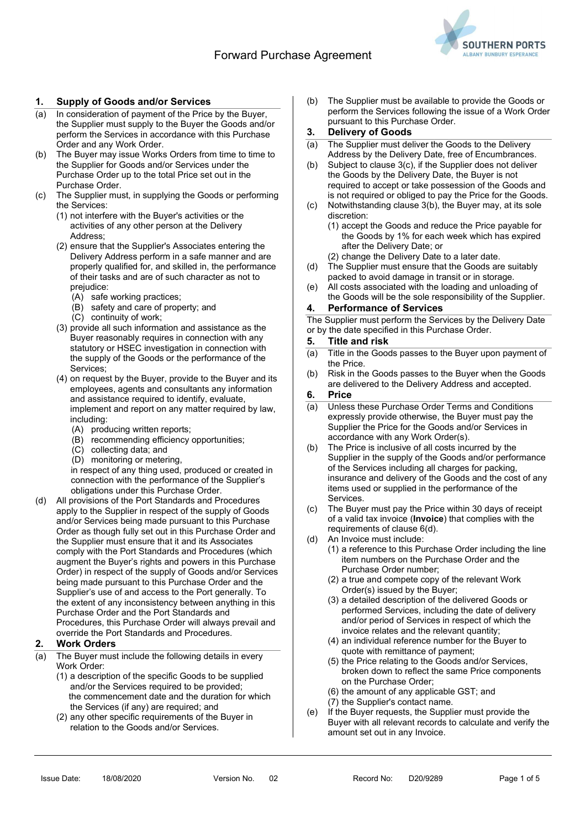

# 1. Supply of Goods and/or Services

- (a) In consideration of payment of the Price by the Buyer, the Supplier must supply to the Buyer the Goods and/or perform the Services in accordance with this Purchase Order and any Work Order.
- (b) The Buyer may issue Works Orders from time to time to the Supplier for Goods and/or Services under the Purchase Order up to the total Price set out in the Purchase Order.
- The Supplier must, in supplying the Goods or performing the Services:
	- (1) not interfere with the Buyer's activities or the activities of any other person at the Delivery Address;
	- (2) ensure that the Supplier's Associates entering the Delivery Address perform in a safe manner and are properly qualified for, and skilled in, the performance of their tasks and are of such character as not to prejudice:
		- (A) safe working practices;
		- (B) safety and care of property; and
		- (C) continuity of work;
	- (3) provide all such information and assistance as the Buyer reasonably requires in connection with any statutory or HSEC investigation in connection with the supply of the Goods or the performance of the Services;
	- (4) on request by the Buyer, provide to the Buyer and its employees, agents and consultants any information and assistance required to identify, evaluate, implement and report on any matter required by law, including:
		- (A) producing written reports;
		- (B) recommending efficiency opportunities;
		- (C) collecting data; and
		- (D) monitoring or metering,

in respect of any thing used, produced or created in connection with the performance of the Supplier's obligations under this Purchase Order.

(d) All provisions of the Port Standards and Procedures apply to the Supplier in respect of the supply of Goods and/or Services being made pursuant to this Purchase Order as though fully set out in this Purchase Order and the Supplier must ensure that it and its Associates comply with the Port Standards and Procedures (which augment the Buyer's rights and powers in this Purchase Order) in respect of the supply of Goods and/or Services being made pursuant to this Purchase Order and the Supplier's use of and access to the Port generally. To the extent of any inconsistency between anything in this Purchase Order and the Port Standards and Procedures, this Purchase Order will always prevail and override the Port Standards and Procedures.

#### 2. Work Orders

- (a) The Buyer must include the following details in every Work Order:
	- (1) a description of the specific Goods to be supplied and/or the Services required to be provided; the commencement date and the duration for which the Services (if any) are required; and
	- (2) any other specific requirements of the Buyer in relation to the Goods and/or Services.

(b) The Supplier must be available to provide the Goods or perform the Services following the issue of a Work Order pursuant to this Purchase Order.

### 3. Delivery of Goods

- (a) The Supplier must deliver the Goods to the Delivery Address by the Delivery Date, free of Encumbrances.
- (b) Subject to clause 3(c), if the Supplier does not deliver the Goods by the Delivery Date, the Buyer is not required to accept or take possession of the Goods and is not required or obliged to pay the Price for the Goods.
- (c) Notwithstanding clause 3(b), the Buyer may, at its sole discretion:
	- (1) accept the Goods and reduce the Price payable for the Goods by 1% for each week which has expired after the Delivery Date; or
	- (2) change the Delivery Date to a later date.
- (d) The Supplier must ensure that the Goods are suitably packed to avoid damage in transit or in storage.
- (e) All costs associated with the loading and unloading of the Goods will be the sole responsibility of the Supplier.
- 4. Performance of Services

The Supplier must perform the Services by the Delivery Date or by the date specified in this Purchase Order.

#### 5. Title and risk

- (a) Title in the Goods passes to the Buyer upon payment of the Price.
- (b) Risk in the Goods passes to the Buyer when the Goods are delivered to the Delivery Address and accepted.

#### 6. Price

- (a) Unless these Purchase Order Terms and Conditions expressly provide otherwise, the Buyer must pay the Supplier the Price for the Goods and/or Services in accordance with any Work Order(s).
- (b) The Price is inclusive of all costs incurred by the Supplier in the supply of the Goods and/or performance of the Services including all charges for packing, insurance and delivery of the Goods and the cost of any items used or supplied in the performance of the Services.
- (c) The Buyer must pay the Price within 30 days of receipt of a valid tax invoice (Invoice) that complies with the requirements of clause 6(d).
- (d) An Invoice must include:
	- (1) a reference to this Purchase Order including the line item numbers on the Purchase Order and the Purchase Order number;
	- (2) a true and compete copy of the relevant Work Order(s) issued by the Buyer;
	- (3) a detailed description of the delivered Goods or performed Services, including the date of delivery and/or period of Services in respect of which the invoice relates and the relevant quantity;
	- (4) an individual reference number for the Buyer to quote with remittance of payment;
	- (5) the Price relating to the Goods and/or Services, broken down to reflect the same Price components on the Purchase Order;
	- (6) the amount of any applicable GST; and
	- (7) the Supplier's contact name.
- (e) If the Buyer requests, the Supplier must provide the Buyer with all relevant records to calculate and verify the amount set out in any Invoice.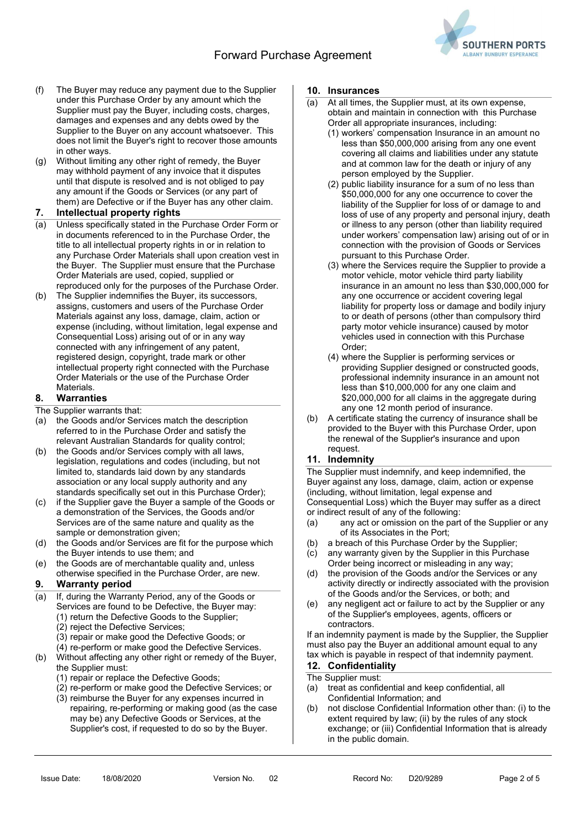# Forward Purchase Agreement



- (f) The Buyer may reduce any payment due to the Supplier under this Purchase Order by any amount which the Supplier must pay the Buyer, including costs, charges, damages and expenses and any debts owed by the Supplier to the Buyer on any account whatsoever. This does not limit the Buyer's right to recover those amounts in other ways.
- (g) Without limiting any other right of remedy, the Buyer may withhold payment of any invoice that it disputes until that dispute is resolved and is not obliged to pay any amount if the Goods or Services (or any part of them) are Defective or if the Buyer has any other claim.

#### 7. Intellectual property rights

- (a) Unless specifically stated in the Purchase Order Form or in documents referenced to in the Purchase Order, the title to all intellectual property rights in or in relation to any Purchase Order Materials shall upon creation vest in the Buyer. The Supplier must ensure that the Purchase Order Materials are used, copied, supplied or reproduced only for the purposes of the Purchase Order.
- (b) The Supplier indemnifies the Buyer, its successors, assigns, customers and users of the Purchase Order Materials against any loss, damage, claim, action or expense (including, without limitation, legal expense and Consequential Loss) arising out of or in any way connected with any infringement of any patent, registered design, copyright, trade mark or other intellectual property right connected with the Purchase Order Materials or the use of the Purchase Order Materials.

#### 8. Warranties

- The Supplier warrants that:
- (a) the Goods and/or Services match the description referred to in the Purchase Order and satisfy the relevant Australian Standards for quality control;
- (b) the Goods and/or Services comply with all laws, legislation, regulations and codes (including, but not limited to, standards laid down by any standards association or any local supply authority and any standards specifically set out in this Purchase Order);
- (c) if the Supplier gave the Buyer a sample of the Goods or a demonstration of the Services, the Goods and/or Services are of the same nature and quality as the sample or demonstration given;
- (d) the Goods and/or Services are fit for the purpose which the Buyer intends to use them; and
- (e) the Goods are of merchantable quality and, unless otherwise specified in the Purchase Order, are new.

#### 9. Warranty period

- (a) If, during the Warranty Period, any of the Goods or Services are found to be Defective, the Buyer may: (1) return the Defective Goods to the Supplier;
	- (2) reject the Defective Services;
	- (3) repair or make good the Defective Goods; or
	- (4) re-perform or make good the Defective Services.
- (b) Without affecting any other right or remedy of the Buyer, the Supplier must:
	- (1) repair or replace the Defective Goods;
	- (2) re-perform or make good the Defective Services; or
	- (3) reimburse the Buyer for any expenses incurred in repairing, re-performing or making good (as the case may be) any Defective Goods or Services, at the Supplier's cost, if requested to do so by the Buyer.

#### 10. Insurances

- (a) At all times, the Supplier must, at its own expense, obtain and maintain in connection with this Purchase Order all appropriate insurances, including:
	- (1) workers' compensation Insurance in an amount no less than \$50,000,000 arising from any one event covering all claims and liabilities under any statute and at common law for the death or injury of any person employed by the Supplier.
	- (2) public liability insurance for a sum of no less than \$50,000,000 for any one occurrence to cover the liability of the Supplier for loss of or damage to and loss of use of any property and personal injury, death or illness to any person (other than liability required under workers' compensation law) arising out of or in connection with the provision of Goods or Services pursuant to this Purchase Order.
	- (3) where the Services require the Supplier to provide a motor vehicle, motor vehicle third party liability insurance in an amount no less than \$30,000,000 for any one occurrence or accident covering legal liability for property loss or damage and bodily injury to or death of persons (other than compulsory third party motor vehicle insurance) caused by motor vehicles used in connection with this Purchase Order;
	- (4) where the Supplier is performing services or providing Supplier designed or constructed goods, professional indemnity insurance in an amount not less than \$10,000,000 for any one claim and \$20,000,000 for all claims in the aggregate during any one 12 month period of insurance.
- (b) A certificate stating the currency of insurance shall be provided to the Buyer with this Purchase Order, upon the renewal of the Supplier's insurance and upon request.

#### 11. Indemnity

The Supplier must indemnify, and keep indemnified, the Buyer against any loss, damage, claim, action or expense (including, without limitation, legal expense and Consequential Loss) which the Buyer may suffer as a direct or indirect result of any of the following:

- (a) any act or omission on the part of the Supplier or any of its Associates in the Port;
- (b) a breach of this Purchase Order by the Supplier;
- (c) any warranty given by the Supplier in this Purchase Order being incorrect or misleading in any way;
- (d) the provision of the Goods and/or the Services or any activity directly or indirectly associated with the provision of the Goods and/or the Services, or both; and
- (e) any negligent act or failure to act by the Supplier or any of the Supplier's employees, agents, officers or contractors.

If an indemnity payment is made by the Supplier, the Supplier must also pay the Buyer an additional amount equal to any tax which is payable in respect of that indemnity payment.

#### 12. Confidentiality

#### The Supplier must:

- (a) treat as confidential and keep confidential, all Confidential Information; and
- (b) not disclose Confidential Information other than: (i) to the extent required by law; (ii) by the rules of any stock exchange; or (iii) Confidential Information that is already in the public domain.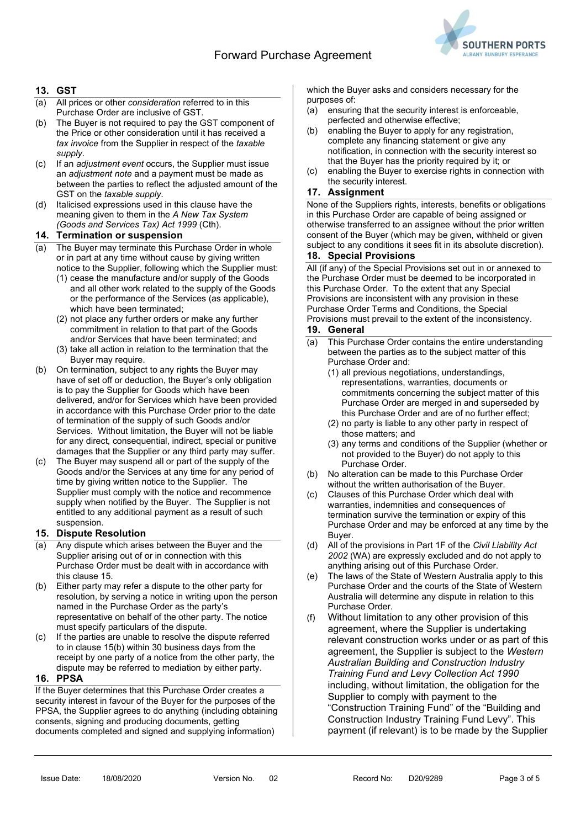

## 13. GST

- (a) All prices or other consideration referred to in this Purchase Order are inclusive of GST.
- (b) The Buyer is not required to pay the GST component of the Price or other consideration until it has received a tax invoice from the Supplier in respect of the taxable supply.
- (c) If an adjustment event occurs, the Supplier must issue an adjustment note and a payment must be made as between the parties to reflect the adjusted amount of the GST on the taxable supply.
- (d) Italicised expressions used in this clause have the meaning given to them in the A New Tax System (Goods and Services Tax) Act 1999 (Cth).

#### 14. Termination or suspension

- (a) The Buyer may terminate this Purchase Order in whole or in part at any time without cause by giving written notice to the Supplier, following which the Supplier must:
	- (1) cease the manufacture and/or supply of the Goods and all other work related to the supply of the Goods or the performance of the Services (as applicable), which have been terminated;
	- (2) not place any further orders or make any further commitment in relation to that part of the Goods and/or Services that have been terminated; and
	- (3) take all action in relation to the termination that the Buyer may require.
- (b) On termination, subject to any rights the Buyer may have of set off or deduction, the Buyer's only obligation is to pay the Supplier for Goods which have been delivered, and/or for Services which have been provided in accordance with this Purchase Order prior to the date of termination of the supply of such Goods and/or Services. Without limitation, the Buyer will not be liable for any direct, consequential, indirect, special or punitive damages that the Supplier or any third party may suffer.
- (c) The Buyer may suspend all or part of the supply of the Goods and/or the Services at any time for any period of time by giving written notice to the Supplier. The Supplier must comply with the notice and recommence supply when notified by the Buyer. The Supplier is not entitled to any additional payment as a result of such suspension.

#### 15. Dispute Resolution

- (a) Any dispute which arises between the Buyer and the Supplier arising out of or in connection with this Purchase Order must be dealt with in accordance with this clause 15.
- (b) Either party may refer a dispute to the other party for resolution, by serving a notice in writing upon the person named in the Purchase Order as the party's representative on behalf of the other party. The notice must specify particulars of the dispute.
- (c) If the parties are unable to resolve the dispute referred to in clause 15(b) within 30 business days from the receipt by one party of a notice from the other party, the dispute may be referred to mediation by either party.

#### 16. PPSA

If the Buyer determines that this Purchase Order creates a security interest in favour of the Buyer for the purposes of the PPSA, the Supplier agrees to do anything (including obtaining consents, signing and producing documents, getting documents completed and signed and supplying information)

which the Buyer asks and considers necessary for the purposes of:

- (a) ensuring that the security interest is enforceable, perfected and otherwise effective;
- (b) enabling the Buyer to apply for any registration, complete any financing statement or give any notification, in connection with the security interest so that the Buyer has the priority required by it; or
- (c) enabling the Buyer to exercise rights in connection with the security interest.

# 17. Assignment

None of the Suppliers rights, interests, benefits or obligations in this Purchase Order are capable of being assigned or otherwise transferred to an assignee without the prior written consent of the Buyer (which may be given, withheld or given subject to any conditions it sees fit in its absolute discretion).

#### 18. Special Provisions

All (if any) of the Special Provisions set out in or annexed to the Purchase Order must be deemed to be incorporated in this Purchase Order. To the extent that any Special Provisions are inconsistent with any provision in these Purchase Order Terms and Conditions, the Special Provisions must prevail to the extent of the inconsistency.

### 19. General

- (a) This Purchase Order contains the entire understanding between the parties as to the subject matter of this Purchase Order and:
	- (1) all previous negotiations, understandings, representations, warranties, documents or commitments concerning the subject matter of this Purchase Order are merged in and superseded by this Purchase Order and are of no further effect;
	- (2) no party is liable to any other party in respect of those matters; and
	- (3) any terms and conditions of the Supplier (whether or not provided to the Buyer) do not apply to this Purchase Order.
- (b) No alteration can be made to this Purchase Order without the written authorisation of the Buyer.
- (c) Clauses of this Purchase Order which deal with warranties, indemnities and consequences of termination survive the termination or expiry of this Purchase Order and may be enforced at any time by the Buyer.
- (d) All of the provisions in Part 1F of the Civil Liability Act 2002 (WA) are expressly excluded and do not apply to anything arising out of this Purchase Order.
- (e) The laws of the State of Western Australia apply to this Purchase Order and the courts of the State of Western Australia will determine any dispute in relation to this Purchase Order.
- (f) Without limitation to any other provision of this agreement, where the Supplier is undertaking relevant construction works under or as part of this agreement, the Supplier is subject to the Western Australian Building and Construction Industry Training Fund and Levy Collection Act 1990 including, without limitation, the obligation for the Supplier to comply with payment to the "Construction Training Fund" of the "Building and Construction Industry Training Fund Levy". This payment (if relevant) is to be made by the Supplier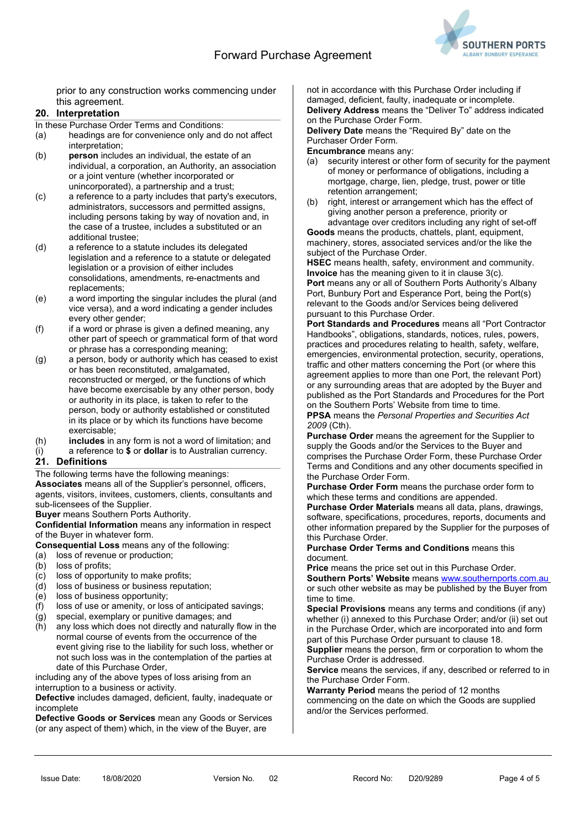

prior to any construction works commencing under this agreement.

### 20. Interpretation

In these Purchase Order Terms and Conditions:

- (a) headings are for convenience only and do not affect interpretation;
- (b) person includes an individual, the estate of an individual, a corporation, an Authority, an association or a joint venture (whether incorporated or unincorporated), a partnership and a trust;
- (c) a reference to a party includes that party's executors, administrators, successors and permitted assigns, including persons taking by way of novation and, in the case of a trustee, includes a substituted or an additional trustee;
- (d) a reference to a statute includes its delegated legislation and a reference to a statute or delegated legislation or a provision of either includes consolidations, amendments, re-enactments and replacements;
- (e) a word importing the singular includes the plural (and vice versa), and a word indicating a gender includes every other gender:
- $(f)$  if a word or phrase is given a defined meaning, any other part of speech or grammatical form of that word or phrase has a corresponding meaning;
- (g) a person, body or authority which has ceased to exist or has been reconstituted, amalgamated, reconstructed or merged, or the functions of which have become exercisable by any other person, body or authority in its place, is taken to refer to the person, body or authority established or constituted in its place or by which its functions have become exercisable;
- (h) includes in any form is not a word of limitation; and
- (i) a reference to  $$$  or **dollar** is to Australian currency. 21. Definitions

The following terms have the following meanings: Associates means all of the Supplier's personnel, officers, agents, visitors, invitees, customers, clients, consultants and sub-licensees of the Supplier.

Buyer means Southern Ports Authority.

Confidential Information means any information in respect of the Buyer in whatever form.

Consequential Loss means any of the following:

- (a) loss of revenue or production;
- (b) loss of profits;
- (c) loss of opportunity to make profits;
- (d) loss of business or business reputation;
- (e) loss of business opportunity;
- (f) loss of use or amenity, or loss of anticipated savings;
- (g) special, exemplary or punitive damages; and
- (h) any loss which does not directly and naturally flow in the normal course of events from the occurrence of the event giving rise to the liability for such loss, whether or not such loss was in the contemplation of the parties at date of this Purchase Order,

including any of the above types of loss arising from an interruption to a business or activity.

Defective includes damaged, deficient, faulty, inadequate or incomplete

Defective Goods or Services mean any Goods or Services (or any aspect of them) which, in the view of the Buyer, are

not in accordance with this Purchase Order including if damaged, deficient, faulty, inadequate or incomplete. Delivery Address means the "Deliver To" address indicated on the Purchase Order Form.

Delivery Date means the "Required By" date on the Purchaser Order Form.

Encumbrance means any:

- (a) security interest or other form of security for the payment of money or performance of obligations, including a mortgage, charge, lien, pledge, trust, power or title retention arrangement;
- (b) right, interest or arrangement which has the effect of giving another person a preference, priority or advantage over creditors including any right of set-off

Goods means the products, chattels, plant, equipment, machinery, stores, associated services and/or the like the subject of the Purchase Order.

HSEC means health, safety, environment and community. Invoice has the meaning given to it in clause 3(c). Port means any or all of Southern Ports Authority's Albany Port, Bunbury Port and Esperance Port, being the Port(s) relevant to the Goods and/or Services being delivered pursuant to this Purchase Order.

Port Standards and Procedures means all "Port Contractor Handbooks", obligations, standards, notices, rules, powers, practices and procedures relating to health, safety, welfare, emergencies, environmental protection, security, operations, traffic and other matters concerning the Port (or where this agreement applies to more than one Port, the relevant Port) or any surrounding areas that are adopted by the Buyer and published as the Port Standards and Procedures for the Port on the Southern Ports' Website from time to time. PPSA means the Personal Properties and Securities Act 2009 (Cth).

Purchase Order means the agreement for the Supplier to supply the Goods and/or the Services to the Buyer and comprises the Purchase Order Form, these Purchase Order Terms and Conditions and any other documents specified in the Purchase Order Form.

Purchase Order Form means the purchase order form to which these terms and conditions are appended.

Purchase Order Materials means all data, plans, drawings, software, specifications, procedures, reports, documents and other information prepared by the Supplier for the purposes of this Purchase Order.

Purchase Order Terms and Conditions means this document.

Price means the price set out in this Purchase Order.

Southern Ports' Website means www.southernports.com.au or such other website as may be published by the Buyer from time to time.

Special Provisions means any terms and conditions (if any) whether (i) annexed to this Purchase Order; and/or (ii) set out in the Purchase Order, which are incorporated into and form part of this Purchase Order pursuant to clause 18.

Supplier means the person, firm or corporation to whom the Purchase Order is addressed.

Service means the services, if any, described or referred to in the Purchase Order Form.

Warranty Period means the period of 12 months commencing on the date on which the Goods are supplied and/or the Services performed.